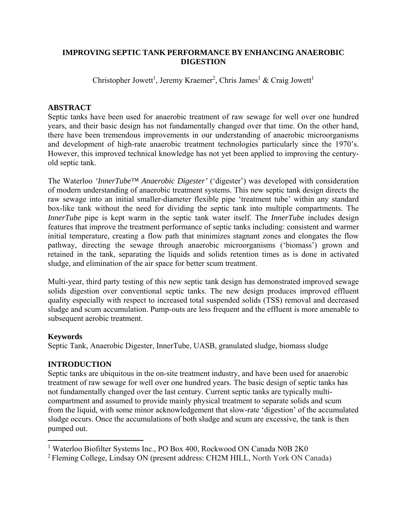### **IMPROVING SEPTIC TANK PERFORMANCE BY ENHANCING ANAEROBIC DIGESTION**

Christopher Jowett<sup>1</sup>, Jeremy Kraemer<sup>2</sup>, Chris James<sup>1</sup> & Craig Jowett<sup>1</sup>

# **ABSTRACT**

Septic tanks have been used for anaerobic treatment of raw sewage for well over one hundred years, and their basic design has not fundamentally changed over that time. On the other hand, there have been tremendous improvements in our understanding of anaerobic microorganisms and development of high-rate anaerobic treatment technologies particularly since the 1970's. However, this improved technical knowledge has not yet been applied to improving the centuryold septic tank.

The Waterloo *'InnerTube™ Anaerobic Digester'* ('digester') was developed with consideration of modern understanding of anaerobic treatment systems. This new septic tank design directs the raw sewage into an initial smaller-diameter flexible pipe 'treatment tube' within any standard box-like tank without the need for dividing the septic tank into multiple compartments. The *InnerTube* pipe is kept warm in the septic tank water itself. The *InnerTube* includes design features that improve the treatment performance of septic tanks including: consistent and warmer initial temperature, creating a flow path that minimizes stagnant zones and elongates the flow pathway, directing the sewage through anaerobic microorganisms ('biomass') grown and retained in the tank, separating the liquids and solids retention times as is done in activated sludge, and elimination of the air space for better scum treatment.

Multi-year, third party testing of this new septic tank design has demonstrated improved sewage solids digestion over conventional septic tanks. The new design produces improved effluent quality especially with respect to increased total suspended solids (TSS) removal and decreased sludge and scum accumulation. Pump-outs are less frequent and the effluent is more amenable to subsequent aerobic treatment.

# **Keywords**

Septic Tank, Anaerobic Digester, InnerTube, UASB, granulated sludge, biomass sludge

# **INTRODUCTION**

Septic tanks are ubiquitous in the on-site treatment industry, and have been used for anaerobic treatment of raw sewage for well over one hundred years. The basic design of septic tanks has not fundamentally changed over the last century. Current septic tanks are typically multicompartment and assumed to provide mainly physical treatment to separate solids and scum from the liquid, with some minor acknowledgement that slow-rate 'digestion' of the accumulated sludge occurs. Once the accumulations of both sludge and scum are excessive, the tank is then pumped out.

 <sup>1</sup> Waterloo Biofilter Systems Inc., PO Box 400, Rockwood ON Canada N0B 2K0

<sup>2</sup> Fleming College, Lindsay ON (present address: CH2M HILL, North York ON Canada)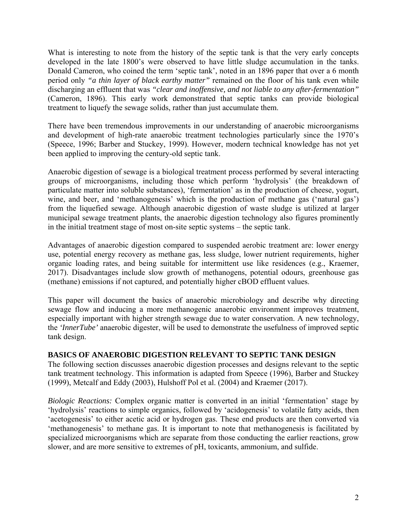What is interesting to note from the history of the septic tank is that the very early concepts developed in the late 1800's were observed to have little sludge accumulation in the tanks. Donald Cameron, who coined the term 'septic tank', noted in an 1896 paper that over a 6 month period only *"a thin layer of black earthy matter"* remained on the floor of his tank even while discharging an effluent that was *"clear and inoffensive, and not liable to any after-fermentation"* (Cameron, 1896). This early work demonstrated that septic tanks can provide biological treatment to liquefy the sewage solids, rather than just accumulate them.

There have been tremendous improvements in our understanding of anaerobic microorganisms and development of high-rate anaerobic treatment technologies particularly since the 1970's (Speece, 1996; Barber and Stuckey, 1999). However, modern technical knowledge has not yet been applied to improving the century-old septic tank.

Anaerobic digestion of sewage is a biological treatment process performed by several interacting groups of microorganisms, including those which perform 'hydrolysis' (the breakdown of particulate matter into soluble substances), 'fermentation' as in the production of cheese, yogurt, wine, and beer, and 'methanogenesis' which is the production of methane gas ('natural gas') from the liquefied sewage. Although anaerobic digestion of waste sludge is utilized at larger municipal sewage treatment plants, the anaerobic digestion technology also figures prominently in the initial treatment stage of most on-site septic systems – the septic tank.

Advantages of anaerobic digestion compared to suspended aerobic treatment are: lower energy use, potential energy recovery as methane gas, less sludge, lower nutrient requirements, higher organic loading rates, and being suitable for intermittent use like residences (e.g., Kraemer, 2017). Disadvantages include slow growth of methanogens, potential odours, greenhouse gas (methane) emissions if not captured, and potentially higher cBOD effluent values.

This paper will document the basics of anaerobic microbiology and describe why directing sewage flow and inducing a more methanogenic anaerobic environment improves treatment, especially important with higher strength sewage due to water conservation. A new technology, the *'InnerTube'* anaerobic digester, will be used to demonstrate the usefulness of improved septic tank design.

### **BASICS OF ANAEROBIC DIGESTION RELEVANT TO SEPTIC TANK DESIGN**

The following section discusses anaerobic digestion processes and designs relevant to the septic tank treatment technology. This information is adapted from Speece (1996), Barber and Stuckey (1999), Metcalf and Eddy (2003), Hulshoff Pol et al. (2004) and Kraemer (2017).

*Biologic Reactions:* Complex organic matter is converted in an initial 'fermentation' stage by 'hydrolysis' reactions to simple organics, followed by 'acidogenesis' to volatile fatty acids, then 'acetogenesis' to either acetic acid or hydrogen gas. These end products are then converted via 'methanogenesis' to methane gas. It is important to note that methanogenesis is facilitated by specialized microorganisms which are separate from those conducting the earlier reactions, grow slower, and are more sensitive to extremes of pH, toxicants, ammonium, and sulfide.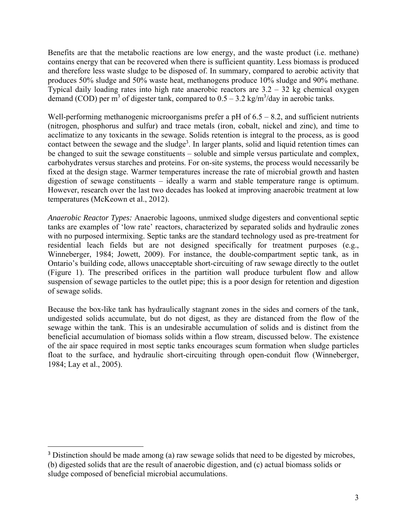Benefits are that the metabolic reactions are low energy, and the waste product (i.e. methane) contains energy that can be recovered when there is sufficient quantity. Less biomass is produced and therefore less waste sludge to be disposed of. In summary, compared to aerobic activity that produces 50% sludge and 50% waste heat, methanogens produce 10% sludge and 90% methane. Typical daily loading rates into high rate anaerobic reactors are 3.2 – 32 kg chemical oxygen demand (COD) per m<sup>3</sup> of digester tank, compared to  $0.5 - 3.2$  kg/m<sup>3</sup>/day in aerobic tanks.

Well-performing methanogenic microorganisms prefer a pH of  $6.5 - 8.2$ , and sufficient nutrients (nitrogen, phosphorus and sulfur) and trace metals (iron, cobalt, nickel and zinc), and time to acclimatize to any toxicants in the sewage. Solids retention is integral to the process, as is good contact between the sewage and the sludge<sup>3</sup>. In larger plants, solid and liquid retention times can be changed to suit the sewage constituents – soluble and simple versus particulate and complex, carbohydrates versus starches and proteins. For on-site systems, the process would necessarily be fixed at the design stage. Warmer temperatures increase the rate of microbial growth and hasten digestion of sewage constituents – ideally a warm and stable temperature range is optimum. However, research over the last two decades has looked at improving anaerobic treatment at low temperatures (McKeown et al., 2012).

*Anaerobic Reactor Types:* Anaerobic lagoons, unmixed sludge digesters and conventional septic tanks are examples of 'low rate' reactors, characterized by separated solids and hydraulic zones with no purposed intermixing. Septic tanks are the standard technology used as pre-treatment for residential leach fields but are not designed specifically for treatment purposes (e.g., Winneberger, 1984; Jowett, 2009). For instance, the double-compartment septic tank, as in Ontario's building code, allows unacceptable short-circuiting of raw sewage directly to the outlet (Figure 1). The prescribed orifices in the partition wall produce turbulent flow and allow suspension of sewage particles to the outlet pipe; this is a poor design for retention and digestion of sewage solids.

Because the box-like tank has hydraulically stagnant zones in the sides and corners of the tank, undigested solids accumulate, but do not digest, as they are distanced from the flow of the sewage within the tank. This is an undesirable accumulation of solids and is distinct from the beneficial accumulation of biomass solids within a flow stream, discussed below. The existence of the air space required in most septic tanks encourages scum formation when sludge particles float to the surface, and hydraulic short-circuiting through open-conduit flow (Winneberger, 1984; Lay et al., 2005).

<sup>&</sup>lt;sup>3</sup> Distinction should be made among (a) raw sewage solids that need to be digested by microbes, (b) digested solids that are the result of anaerobic digestion, and (c) actual biomass solids or sludge composed of beneficial microbial accumulations.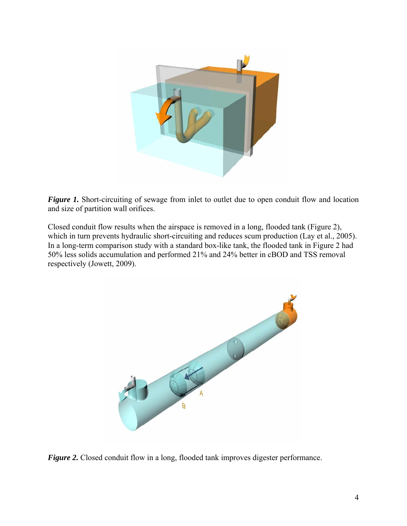

*Figure 1.* Short-circuiting of sewage from inlet to outlet due to open conduit flow and location and size of partition wall orifices.

Closed conduit flow results when the airspace is removed in a long, flooded tank (Figure 2), which in turn prevents hydraulic short-circuiting and reduces scum production (Lay et al., 2005). In a long-term comparison study with a standard box-like tank, the flooded tank in Figure 2 had 50% less solids accumulation and performed 21% and 24% better in cBOD and TSS removal respectively (Jowett, 2009).



*Figure 2.* Closed conduit flow in a long, flooded tank improves digester performance.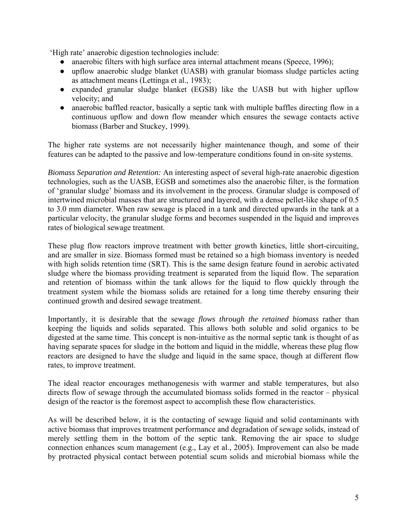'High rate' anaerobic digestion technologies include:

- anaerobic filters with high surface area internal attachment means (Speece, 1996);
- upflow anaerobic sludge blanket (UASB) with granular biomass sludge particles acting as attachment means (Lettinga et al., 1983);
- expanded granular sludge blanket (EGSB) like the UASB but with higher upflow velocity; and
- anaerobic baffled reactor, basically a septic tank with multiple baffles directing flow in a continuous upflow and down flow meander which ensures the sewage contacts active biomass (Barber and Stuckey, 1999).

The higher rate systems are not necessarily higher maintenance though, and some of their features can be adapted to the passive and low-temperature conditions found in on-site systems.

*Biomass Separation and Retention:* An interesting aspect of several high-rate anaerobic digestion technologies, such as the UASB, EGSB and sometimes also the anaerobic filter, is the formation of 'granular sludge' biomass and its involvement in the process. Granular sludge is composed of intertwined microbial masses that are structured and layered, with a dense pellet-like shape of 0.5 to 3.0 mm diameter. When raw sewage is placed in a tank and directed upwards in the tank at a particular velocity, the granular sludge forms and becomes suspended in the liquid and improves rates of biological sewage treatment.

These plug flow reactors improve treatment with better growth kinetics, little short-circuiting, and are smaller in size. Biomass formed must be retained so a high biomass inventory is needed with high solids retention time (SRT). This is the same design feature found in aerobic activated sludge where the biomass providing treatment is separated from the liquid flow. The separation and retention of biomass within the tank allows for the liquid to flow quickly through the treatment system while the biomass solids are retained for a long time thereby ensuring their continued growth and desired sewage treatment.

Importantly, it is desirable that the sewage *flows through the retained biomass* rather than keeping the liquids and solids separated. This allows both soluble and solid organics to be digested at the same time. This concept is non-intuitive as the normal septic tank is thought of as having separate spaces for sludge in the bottom and liquid in the middle, whereas these plug flow reactors are designed to have the sludge and liquid in the same space, though at different flow rates, to improve treatment.

The ideal reactor encourages methanogenesis with warmer and stable temperatures, but also directs flow of sewage through the accumulated biomass solids formed in the reactor – physical design of the reactor is the foremost aspect to accomplish these flow characteristics.

As will be described below, it is the contacting of sewage liquid and solid contaminants with active biomass that improves treatment performance and degradation of sewage solids, instead of merely settling them in the bottom of the septic tank. Removing the air space to sludge connection enhances scum management (e.g., Lay et al., 2005). Improvement can also be made by protracted physical contact between potential scum solids and microbial biomass while the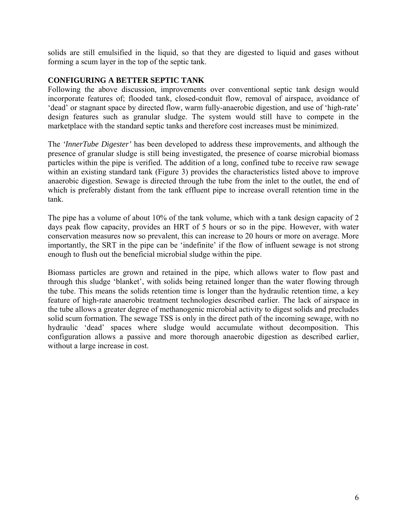solids are still emulsified in the liquid, so that they are digested to liquid and gases without forming a scum layer in the top of the septic tank.

### **CONFIGURING A BETTER SEPTIC TANK**

Following the above discussion, improvements over conventional septic tank design would incorporate features of; flooded tank, closed-conduit flow, removal of airspace, avoidance of 'dead' or stagnant space by directed flow, warm fully-anaerobic digestion, and use of 'high-rate' design features such as granular sludge. The system would still have to compete in the marketplace with the standard septic tanks and therefore cost increases must be minimized.

The *'InnerTube Digester'* has been developed to address these improvements, and although the presence of granular sludge is still being investigated, the presence of coarse microbial biomass particles within the pipe is verified. The addition of a long, confined tube to receive raw sewage within an existing standard tank (Figure 3) provides the characteristics listed above to improve anaerobic digestion. Sewage is directed through the tube from the inlet to the outlet, the end of which is preferably distant from the tank effluent pipe to increase overall retention time in the tank.

The pipe has a volume of about 10% of the tank volume, which with a tank design capacity of 2 days peak flow capacity, provides an HRT of 5 hours or so in the pipe. However, with water conservation measures now so prevalent, this can increase to 20 hours or more on average. More importantly, the SRT in the pipe can be 'indefinite' if the flow of influent sewage is not strong enough to flush out the beneficial microbial sludge within the pipe.

Biomass particles are grown and retained in the pipe, which allows water to flow past and through this sludge 'blanket', with solids being retained longer than the water flowing through the tube. This means the solids retention time is longer than the hydraulic retention time, a key feature of high-rate anaerobic treatment technologies described earlier. The lack of airspace in the tube allows a greater degree of methanogenic microbial activity to digest solids and precludes solid scum formation. The sewage TSS is only in the direct path of the incoming sewage, with no hydraulic 'dead' spaces where sludge would accumulate without decomposition. This configuration allows a passive and more thorough anaerobic digestion as described earlier, without a large increase in cost.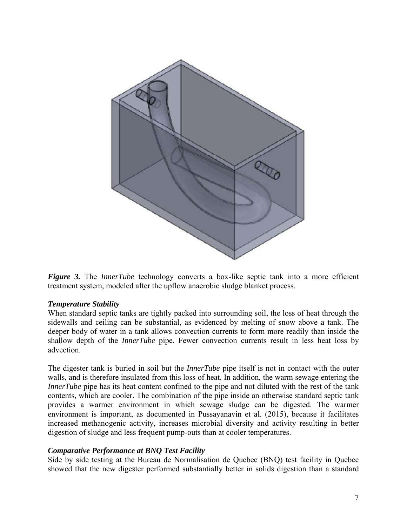

*Figure 3.* The *InnerTube* technology converts a box-like septic tank into a more efficient treatment system, modeled after the upflow anaerobic sludge blanket process.

### *Temperature Stability*

When standard septic tanks are tightly packed into surrounding soil, the loss of heat through the sidewalls and ceiling can be substantial, as evidenced by melting of snow above a tank. The deeper body of water in a tank allows convection currents to form more readily than inside the shallow depth of the *InnerTube* pipe. Fewer convection currents result in less heat loss by advection.

The digester tank is buried in soil but the *InnerTube* pipe itself is not in contact with the outer walls, and is therefore insulated from this loss of heat. In addition, the warm sewage entering the *InnerTube* pipe has its heat content confined to the pipe and not diluted with the rest of the tank contents, which are cooler. The combination of the pipe inside an otherwise standard septic tank provides a warmer environment in which sewage sludge can be digested. The warmer environment is important, as documented in Pussayanavin et al. (2015), because it facilitates increased methanogenic activity, increases microbial diversity and activity resulting in better digestion of sludge and less frequent pump-outs than at cooler temperatures.

### *Comparative Performance at BNQ Test Facility*

Side by side testing at the Bureau de Normalisation de Quebec (BNQ) test facility in Quebec showed that the new digester performed substantially better in solids digestion than a standard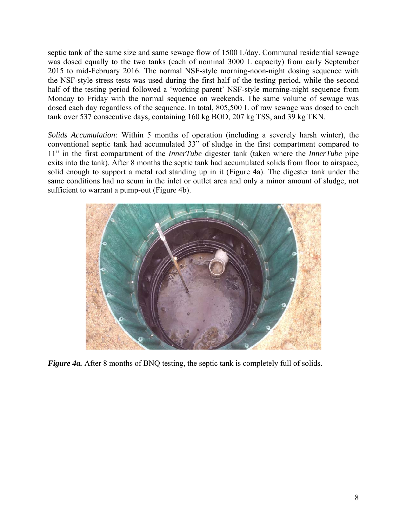septic tank of the same size and same sewage flow of 1500 L/day. Communal residential sewage was dosed equally to the two tanks (each of nominal 3000 L capacity) from early September 2015 to mid-February 2016. The normal NSF-style morning-noon-night dosing sequence with the NSF-style stress tests was used during the first half of the testing period, while the second half of the testing period followed a 'working parent' NSF-style morning-night sequence from Monday to Friday with the normal sequence on weekends. The same volume of sewage was dosed each day regardless of the sequence. In total, 805,500 L of raw sewage was dosed to each tank over 537 consecutive days, containing 160 kg BOD, 207 kg TSS, and 39 kg TKN.

*Solids Accumulation:* Within 5 months of operation (including a severely harsh winter), the conventional septic tank had accumulated 33" of sludge in the first compartment compared to 11" in the first compartment of the *InnerTube* digester tank (taken where the *InnerTube* pipe exits into the tank). After 8 months the septic tank had accumulated solids from floor to airspace, solid enough to support a metal rod standing up in it (Figure 4a). The digester tank under the same conditions had no scum in the inlet or outlet area and only a minor amount of sludge, not sufficient to warrant a pump-out (Figure 4b).



*Figure 4a.* After 8 months of BNQ testing, the septic tank is completely full of solids.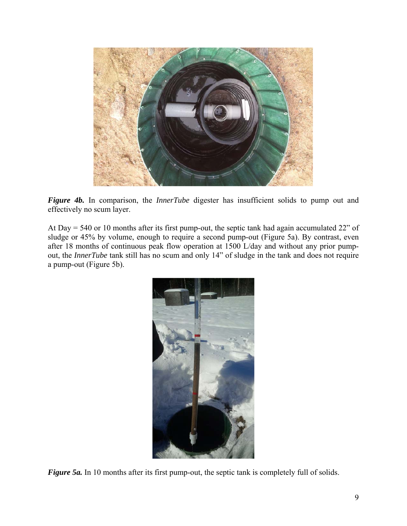

*Figure 4b.* In comparison, the *InnerTube* digester has insufficient solids to pump out and effectively no scum layer.

At Day = 540 or 10 months after its first pump-out, the septic tank had again accumulated 22" of sludge or 45% by volume, enough to require a second pump-out (Figure 5a). By contrast, even after 18 months of continuous peak flow operation at 1500 L/day and without any prior pumpout, the *InnerTube* tank still has no scum and only 14" of sludge in the tank and does not require a pump-out (Figure 5b).



*Figure 5a.* In 10 months after its first pump-out, the septic tank is completely full of solids.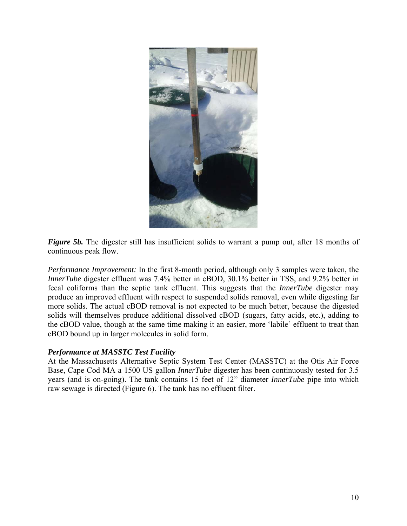

*Figure 5b.* The digester still has insufficient solids to warrant a pump out, after 18 months of continuous peak flow.

*Performance Improvement:* In the first 8-month period, although only 3 samples were taken, the *InnerTube* digester effluent was 7.4% better in cBOD, 30.1% better in TSS, and 9.2% better in fecal coliforms than the septic tank effluent. This suggests that the *InnerTube* digester may produce an improved effluent with respect to suspended solids removal, even while digesting far more solids. The actual cBOD removal is not expected to be much better, because the digested solids will themselves produce additional dissolved cBOD (sugars, fatty acids, etc.), adding to the cBOD value, though at the same time making it an easier, more 'labile' effluent to treat than cBOD bound up in larger molecules in solid form.

### *Performance at MASSTC Test Facility*

At the Massachusetts Alternative Septic System Test Center (MASSTC) at the Otis Air Force Base, Cape Cod MA a 1500 US gallon *InnerTube* digester has been continuously tested for 3.5 years (and is on-going). The tank contains 15 feet of 12" diameter *InnerTube* pipe into which raw sewage is directed (Figure 6). The tank has no effluent filter.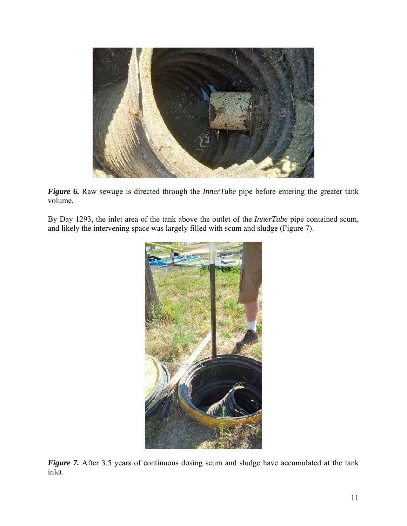

*Figure 6.* Raw sewage is directed through the *InnerTube* pipe before entering the greater tank volume.

By Day 1293, the inlet area of the tank above the outlet of the *InnerTube* pipe contained scum, and likely the intervening space was largely filled with scum and sludge (Figure 7).



**Figure 7.** After 3.5 years of continuous dosing scum and sludge have accumulated at the tank inlet.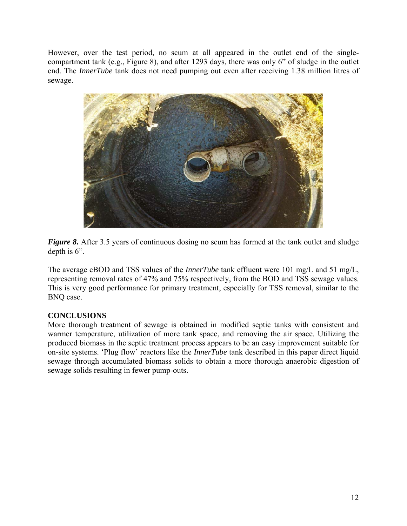However, over the test period, no scum at all appeared in the outlet end of the singlecompartment tank (e.g., Figure 8), and after 1293 days, there was only 6" of sludge in the outlet end. The *InnerTube* tank does not need pumping out even after receiving 1.38 million litres of sewage.



*Figure 8.* After 3.5 years of continuous dosing no scum has formed at the tank outlet and sludge depth is 6".

The average cBOD and TSS values of the *InnerTube* tank effluent were 101 mg/L and 51 mg/L, representing removal rates of 47% and 75% respectively, from the BOD and TSS sewage values. This is very good performance for primary treatment, especially for TSS removal, similar to the BNQ case.

# **CONCLUSIONS**

More thorough treatment of sewage is obtained in modified septic tanks with consistent and warmer temperature, utilization of more tank space, and removing the air space. Utilizing the produced biomass in the septic treatment process appears to be an easy improvement suitable for on-site systems. 'Plug flow' reactors like the *InnerTube* tank described in this paper direct liquid sewage through accumulated biomass solids to obtain a more thorough anaerobic digestion of sewage solids resulting in fewer pump-outs.